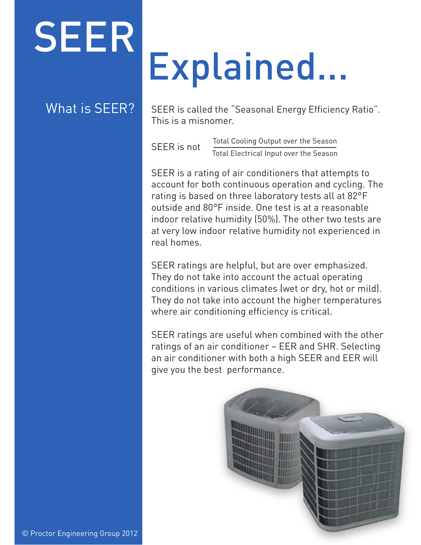## SEER

### What is SEER?

### Explained...

SEER is called the "Seasonal Energy Efficiency Ratio". This is a misnomer.

SEER is not Total Cooling Output over the Season Total Electrical Input over the Season

SEER is a rating of air conditioners that attempts to account for both continuous operation and cycling. The rating is based on three laboratory tests all at 82°F outside and 80°F inside. One test is at a reasonable indoor relative humidity (50%). The other two tests are at very low indoor relative humidity not experienced in real homes.

SEER ratings are helpful, but are over emphasized. They do not take into account the actual operating conditions in various climates (wet or dry, hot or mild). They do not take into account the higher temperatures where air conditioning efficiency is critical.

SEER ratings are useful when combined with the other ratings of an air conditioner – EER and SHR. Selecting an air conditioner with both a high SEER and EER will give you the best performance.